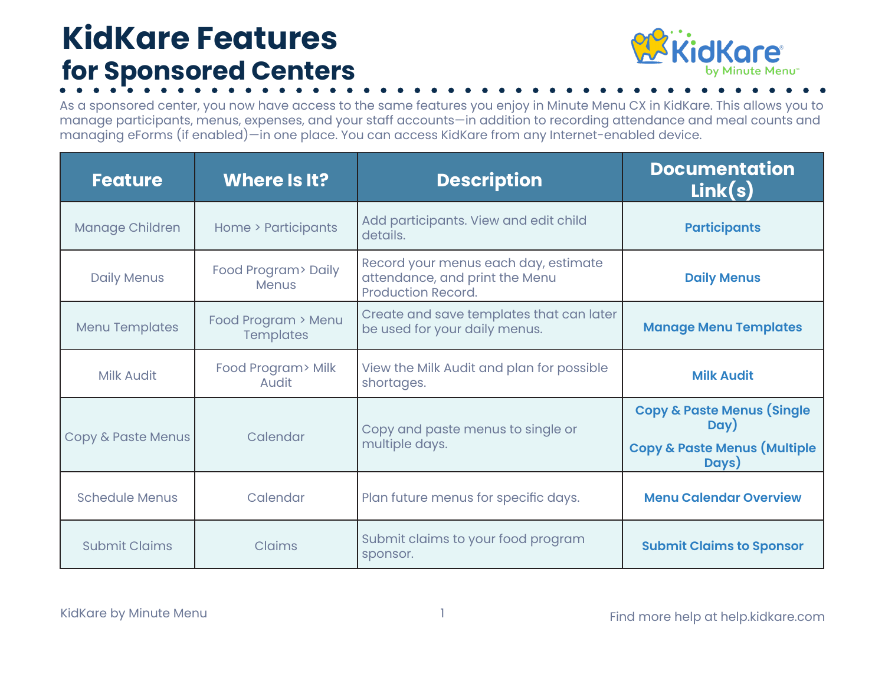## **KidKare Features for Sponsored Centers**



As a sponsored center, you now have access to the same features you enjoy in Minute Menu CX in KidKare. This allows you to manage participants, menus, expenses, and your staff accounts—in addition to recording attendance and meal counts and managing eForms (if enabled)—in one place. You can access KidKare from any Internet-enabled device.

| <b>Feature</b>                | Where Is It?                            | <b>Description</b>                                                                                  | <b>Documentation</b><br>Link(s)                                                                   |
|-------------------------------|-----------------------------------------|-----------------------------------------------------------------------------------------------------|---------------------------------------------------------------------------------------------------|
| Manage Children               | Home > Participants                     | Add participants. View and edit child<br>details.                                                   | <b>Participants</b>                                                                               |
| <b>Daily Menus</b>            | Food Program> Daily<br><b>Menus</b>     | Record your menus each day, estimate<br>attendance, and print the Menu<br><b>Production Record.</b> | <b>Daily Menus</b>                                                                                |
| <b>Menu Templates</b>         | Food Program > Menu<br><b>Templates</b> | Create and save templates that can later<br>be used for your daily menus.                           | <b>Manage Menu Templates</b>                                                                      |
| <b>Milk Audit</b>             | Food Program> Milk<br>Audit             | View the Milk Audit and plan for possible<br>shortages.                                             | <b>Milk Audit</b>                                                                                 |
| <b>Copy &amp; Paste Menus</b> | Calendar                                | Copy and paste menus to single or<br>multiple days.                                                 | <b>Copy &amp; Paste Menus (Single</b><br>Day)<br><b>Copy &amp; Paste Menus (Multiple</b><br>Days) |
| <b>Schedule Menus</b>         | Calendar                                | Plan future menus for specific days.                                                                | <b>Menu Calendar Overview</b>                                                                     |
| <b>Submit Claims</b>          | Claims                                  | Submit claims to your food program<br>sponsor.                                                      | <b>Submit Claims to Sponsor</b>                                                                   |